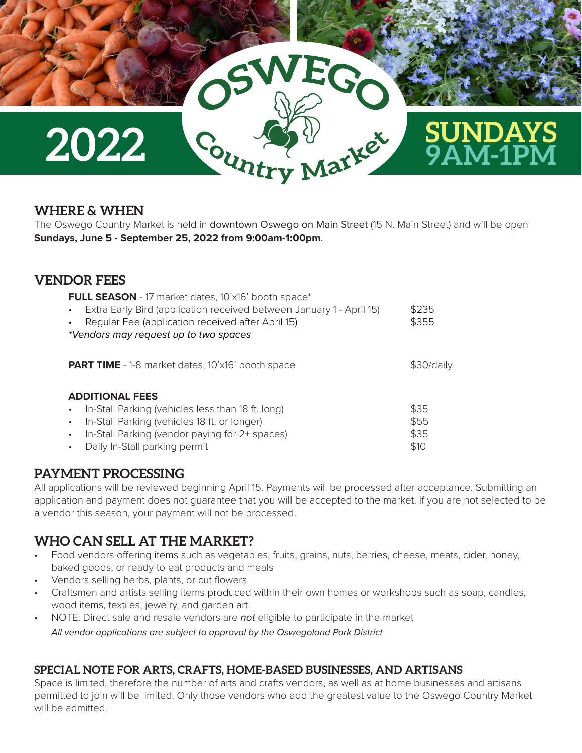

### **WHERE & WHEN**

The Oswego Country Market is held in downtown Oswego on Main Street (15 N. Main Street) and will be open **Sundays, June 5 - September 25, 2022 from 9:00am-1:00pm**.

### **VENDOR FEES**

| FULL SEASON - 17 market dates, 10'x16' booth space*<br>Extra Early Bird (application received between January 1 - April 15)<br>$\bullet$<br>Regular Fee (application received after April 15)<br>*Vendors may request up to two spaces                             | \$235<br>\$355               |
|--------------------------------------------------------------------------------------------------------------------------------------------------------------------------------------------------------------------------------------------------------------------|------------------------------|
| <b>PART TIME</b> - 1-8 market dates, 10'x16' booth space                                                                                                                                                                                                           | \$30/daily                   |
| <b>ADDITIONAL FEES</b><br>In-Stall Parking (vehicles less than 18 ft. long)<br>$\bullet$<br>In-Stall Parking (vehicles 18 ft. or longer)<br>$\bullet$<br>In-Stall Parking (vendor paying for 2+ spaces)<br>$\bullet$<br>Daily In-Stall parking permit<br>$\bullet$ | \$35<br>\$55<br>\$35<br>\$10 |

### **PAYMENT PROCESSING**

All applications will be reviewed beginning April 15. Payments will be processed after acceptance. Submitting an application and payment does not guarantee that you will be accepted to the market. If you are not selected to be a vendor this season, your payment will not be processed.

# **WHO CAN SELL AT THE MARKET?**

- Food vendors offering items such as vegetables, fruits, grains, nuts, berries, cheese, meats, cider, honey, baked goods, or ready to eat products and meals
- Vendors selling herbs, plants, or cut flowers
- Craftsmen and artists selling items produced within their own homes or workshops such as soap, candles, wood items, textiles, jewelry, and garden art.
- NOTE: Direct sale and resale vendors are *not* eligible to participate in the market  *All vendor applications are subject to approval by the Oswegoland Park District*

#### **SPECIAL NOTE FOR ARTS, CRAFTS, HOME-BASED BUSINESSES, AND ARTISANS**

Space is limited, therefore the number of arts and crafts vendors, as well as at home businesses and artisans permitted to join will be limited. Only those vendors who add the greatest value to the Oswego Country Market will be admitted.